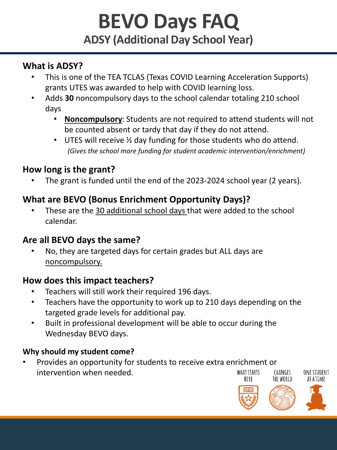# **BEVO Days FAQ ADSY (Additional Day School Year)**

### **What is ADSY?**

- This is one of the TEA TCLAS (Texas COVID Learning Acceleration Supports) grants UTES was awarded to help with COVID learning loss.
- Adds **30** noncompulsory days to the school calendar totaling 210 school days
	- **Noncompulsory**: Students are not required to attend students will not be counted absent or tardy that day if they do not attend.
	- UTES will receive  $\frac{1}{2}$  day funding for those students who do attend. *(Gives the school more funding for student academic intervention/enrichment)*

## **How long is the grant?**

The grant is funded until the end of the 2023-2024 school year (2 years).

## **What are BEVO (Bonus Enrichment Opportunity Days)?**

• These are the 30 additional school days that were added to the school calendar.

### **Are all BEVO days the same?**

• No, they are targeted days for certain grades but ALL days are noncompulsory.

### **How does this impact teachers?**

- Teachers will still work their required 196 days.
- Teachers have the opportunity to work up to 210 days depending on the targeted grade levels for additional pay.
- Built in professional development will be able to occur during the Wednesday BEVO days.

#### **Why should my student come?**

• Provides an opportunity for students to receive extra enrichment or intervention when needed.WHAT STARTS **CHANGES ONF STUDENT** HFRF THE WORLD **AT A TIME** 



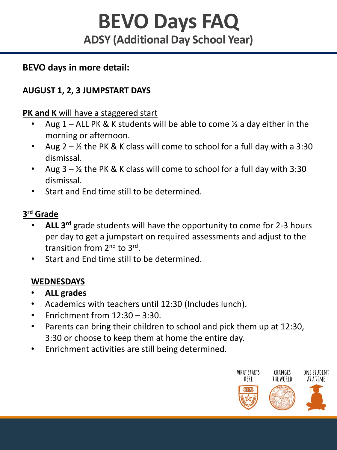# **BEVO Days FAQ ADSY (Additional Day School Year)**

#### **BEVO days in more detail:**

#### **AUGUST 1, 2, 3 JUMPSTART DAYS**

**PK and K** will have a staggered start

- Aug  $1 -$  ALL PK & K students will be able to come  $\frac{1}{2}$  a day either in the morning or afternoon.
- Aug  $2 \frac{1}{2}$  the PK & K class will come to school for a full day with a 3:30 dismissal.
- Aug  $3 \frac{1}{2}$  the PK & K class will come to school for a full day with 3:30 dismissal.
- Start and End time still to be determined.

#### **3 rd Grade**

- **ALL 3rd** grade students will have the opportunity to come for 2-3 hours per day to get a jumpstart on required assessments and adjust to the transition from 2<sup>nd</sup> to 3<sup>rd</sup>.
- Start and End time still to be determined.

#### **WEDNESDAYS**

- **ALL grades**
- Academics with teachers until 12:30 (Includes lunch).
- Fnrichment from  $12:30 3:30$ .
- Parents can bring their children to school and pick them up at 12:30, 3:30 or choose to keep them at home the entire day.
- Enrichment activities are still being determined.